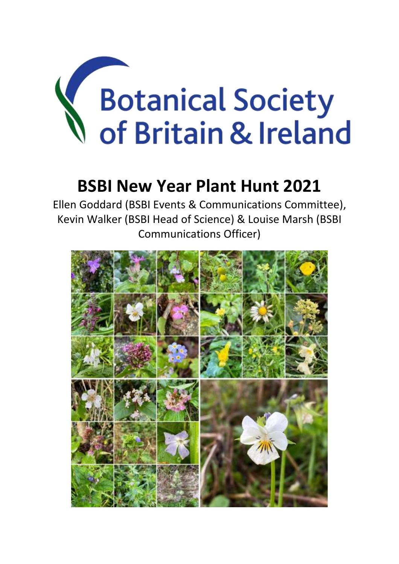# Botanical Society of Britain & Ireland

# **BSBI New Year Plant Hunt 2021**

Ellen Goddard (BSBI Events & Communications Committee), Kevin Walker (BSBI Head of Science) & Louise Marsh (BSBI Communications Officer)

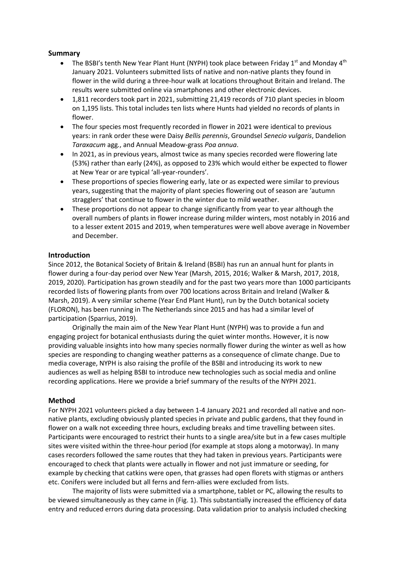# **Summary**

- The BSBI's tenth New Year Plant Hunt (NYPH) took place between Friday 1<sup>st</sup> and Monday 4<sup>th</sup> January 2021. Volunteers submitted lists of native and non-native plants they found in flower in the wild during a three-hour walk at locations throughout Britain and Ireland. The results were submitted online via smartphones and other electronic devices.
- 1,811 recorders took part in 2021, submitting 21,419 records of 710 plant species in bloom on 1,195 lists. This total includes ten lists where Hunts had yielded no records of plants in flower.
- The four species most frequently recorded in flower in 2021 were identical to previous years: in rank order these were Daisy *Bellis perennis*, Groundsel *Senecio vulgaris*, Dandelion *Taraxacum* agg*.*, and Annual Meadow-grass *Poa annua*.
- In 2021, as in previous years, almost twice as many species recorded were flowering late (53%) rather than early (24%), as opposed to 23% which would either be expected to flower at New Year or are typical 'all-year-rounders'.
- These proportions of species flowering early, late or as expected were similar to previous years, suggesting that the majority of plant species flowering out of season are 'autumn stragglers' that continue to flower in the winter due to mild weather.
- These proportions do not appear to change significantly from year to year although the overall numbers of plants in flower increase during milder winters, most notably in 2016 and to a lesser extent 2015 and 2019, when temperatures were well above average in November and December.

# **Introduction**

Since 2012, the Botanical Society of Britain & Ireland (BSBI) has run an annual hunt for plants in flower during a four-day period over New Year (Marsh, 2015, 2016; Walker & Marsh, 2017, 2018, 2019, 2020). Participation has grown steadily and for the past two years more than 1000 participants recorded lists of flowering plants from over 700 locations across Britain and Ireland (Walker & Marsh, 2019). A very similar scheme (Year End Plant Hunt), run by the Dutch botanical society (FLORON), has been running in The Netherlands since 2015 and has had a similar level of participation (Sparrius, 2019).

Originally the main aim of the New Year Plant Hunt (NYPH) was to provide a fun and engaging project for botanical enthusiasts during the quiet winter months. However, it is now providing valuable insights into how many species normally flower during the winter as well as how species are responding to changing weather patterns as a consequence of climate change. Due to media coverage, NYPH is also raising the profile of the BSBI and introducing its work to new audiences as well as helping BSBI to introduce new technologies such as social media and online recording applications. Here we provide a brief summary of the results of the NYPH 2021.

# **Method**

For NYPH 2021 volunteers picked a day between 1-4 January 2021 and recorded all native and nonnative plants, excluding obviously planted species in private and public gardens, that they found in flower on a walk not exceeding three hours, excluding breaks and time travelling between sites. Participants were encouraged to restrict their hunts to a single area/site but in a few cases multiple sites were visited within the three-hour period (for example at stops along a motorway). In many cases recorders followed the same routes that they had taken in previous years. Participants were encouraged to check that plants were actually in flower and not just immature or seeding, for example by checking that catkins were open, that grasses had open florets with stigmas or anthers etc. Conifers were included but all ferns and fern-allies were excluded from lists.

The majority of lists were submitted via a smartphone, tablet or PC, allowing the results to be viewed simultaneously as they came in (Fig. 1). This substantially increased the efficiency of data entry and reduced errors during data processing. Data validation prior to analysis included checking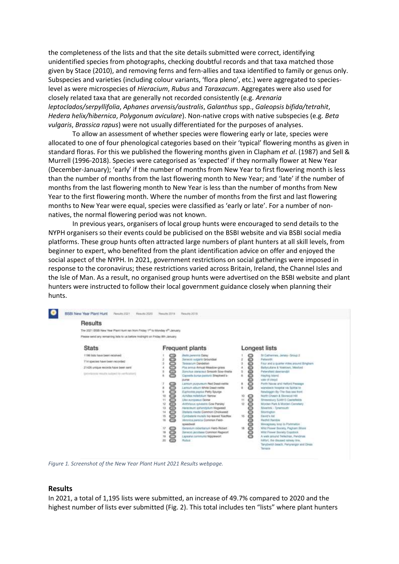the completeness of the lists and that the site details submitted were correct, identifying unidentified species from photographs, checking doubtful records and that taxa matched those given by Stace (2010), and removing ferns and fern-allies and taxa identified to family or genus only. Subspecies and varieties (including colour variants, 'flora pleno', etc.) were aggregated to specieslevel as were microspecies of *Hieracium*, *Rubus* and *Taraxacum*. Aggregates were also used for closely related taxa that are generally not recorded consistently (e.g. *Arenaria leptoclados/serpyllifolia*, *Aphanes arvensis/australis*, *Galanthus* spp., *Galeopsis bifida/tetrahit*, *Hedera helix/hibernica*, *Polygonum aviculare*). Non-native crops with native subspecies (e.g. *Beta vulgaris*, *Brassica rapus*) were not usually differentiated for the purposes of analyses.

To allow an assessment of whether species were flowering early or late, species were allocated to one of four phenological categories based on their 'typical' flowering months as given in standard floras. For this we published the flowering months given in Clapham *et al*. (1987) and Sell & Murrell (1996-2018). Species were categorised as 'expected' if they normally flower at New Year (December-January); 'early' if the number of months from New Year to first flowering month is less than the number of months from the last flowering month to New Year; and 'late' if the number of months from the last flowering month to New Year is less than the number of months from New Year to the first flowering month. Where the number of months from the first and last flowering months to New Year were equal, species were classified as 'early or late'. For a number of nonnatives, the normal flowering period was not known.

In previous years, organisers of local group hunts were encouraged to send details to the NYPH organisers so their events could be publicised on the BSBI website and via BSBI social media platforms. These group hunts often attracted large numbers of plant hunters at all skill levels, from beginner to expert, who benefited from the plant identification advice on offer and enjoyed the social aspect of the NYPH. In 2021, government restrictions on social gatherings were imposed in response to the coronavirus; these restrictions varied across Britain, Ireland, the Channel Isles and the Isle of Man. As a result, no organised group hunts were advertised on the BSBI website and plant hunters were instructed to follow their local government guidance closely when planning their hunts.



*Figure 1. Screenshot of the New Year Plant Hunt 2021 Results webpage.*

#### **Results**

In 2021, a total of 1,195 lists were submitted, an increase of 49.7% compared to 2020 and the highest number of lists ever submitted (Fig. 2). This total includes ten "lists" where plant hunters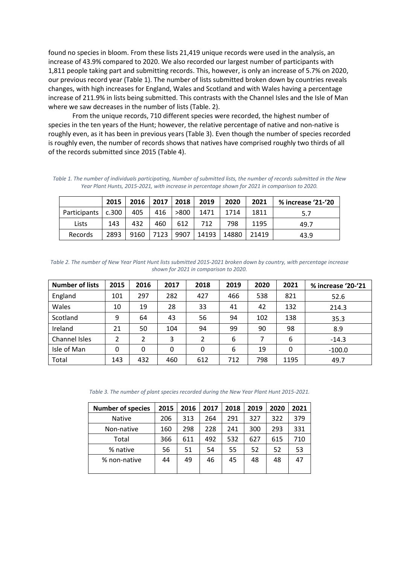found no species in bloom. From these lists 21,419 unique records were used in the analysis, an increase of 43.9% compared to 2020. We also recorded our largest number of participants with 1,811 people taking part and submitting records. This, however, is only an increase of 5.7% on 2020, our previous record year (Table 1). The number of lists submitted broken down by countries reveals changes, with high increases for England, Wales and Scotland and with Wales having a percentage increase of 211.9% in lists being submitted. This contrasts with the Channel Isles and the Isle of Man where we saw decreases in the number of lists (Table. 2).

From the unique records, 710 different species were recorded, the highest number of species in the ten years of the Hunt; however, the relative percentage of native and non-native is roughly even, as it has been in previous years (Table 3). Even though the number of species recorded is roughly even, the number of records shows that natives have comprised roughly two thirds of all of the records submitted since 2015 (Table 4).

*Table 1. The number of individuals participating, Number of submitted lists, the number of records submitted in the New Year Plant Hunts, 2015-2021, with increase in percentage shown for 2021 in comparison to 2020.*

|                      | 2015 | 2016 | $2017$ | 2018 | 2019  | 2020  | 2021  | % increase '21-'20 |
|----------------------|------|------|--------|------|-------|-------|-------|--------------------|
| Participants   c.300 |      | 405  | 416    | >800 | 1471  | 1714  | 1811  | 5.7                |
| Lists                | 143  | 432  | 460    | 612  | 712   | 798   | 1195  | 49.7               |
| Records              | 2893 | 9160 | 7123   | 9907 | 14193 | 14880 | 21419 | 43.9               |

*Table 2. The number of New Year Plant Hunt lists submitted 2015-2021 broken down by country, with percentage increase shown for 2021 in comparison to 2020.*

| <b>Number of lists</b> | 2015         | 2016         | 2017 | 2018 | 2019 | 2020 | 2021 | % increase '20-'21 |
|------------------------|--------------|--------------|------|------|------|------|------|--------------------|
| England                | 101          | 297          | 282  | 427  | 466  | 538  | 821  | 52.6               |
| Wales                  | 10           | 19           | 28   | 33   | 41   | 42   | 132  | 214.3              |
| Scotland               | 9            | 64           | 43   | 56   | 94   | 102  | 138  | 35.3               |
| Ireland                | 21           | 50           | 104  | 94   | 99   | 90   | 98   | 8.9                |
| Channel Isles          | 2            | 2            | 3    | 2    | 6    |      | 6    | $-14.3$            |
| Isle of Man            | $\mathbf{0}$ | $\mathbf{0}$ | 0    | 0    | 6    | 19   | 0    | $-100.0$           |
| Total                  | 143          | 432          | 460  | 612  | 712  | 798  | 1195 | 49.7               |

*Table 3. The number of plant species recorded during the New Year Plant Hunt 2015-2021.*

| <b>Number of species</b> | 2015 | 2016 | 2017 | 2018 | 2019 | 2020 | 2021 |
|--------------------------|------|------|------|------|------|------|------|
| <b>Native</b>            | 206  | 313  | 264  | 291  | 327  | 322  | 379  |
| Non-native               | 160  | 298  | 228  | 241  | 300  | 293  | 331  |
| Total                    | 366  | 611  | 492  | 532  | 627  | 615  | 710  |
| % native                 | 56   | 51   | 54   | 55   | 52   | 52   | 53   |
| % non-native             | 44   | 49   | 46   | 45   | 48   | 48   | 47   |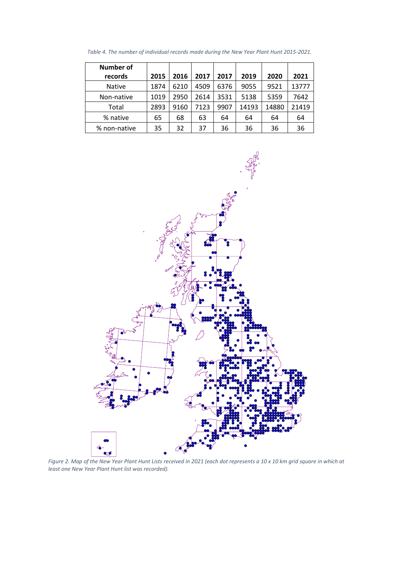| <b>Number of</b> |      |      |      |      |       |       |       |
|------------------|------|------|------|------|-------|-------|-------|
| records          | 2015 | 2016 | 2017 | 2017 | 2019  | 2020  | 2021  |
| <b>Native</b>    | 1874 | 6210 | 4509 | 6376 | 9055  | 9521  | 13777 |
| Non-native       | 1019 | 2950 | 2614 | 3531 | 5138  | 5359  | 7642  |
| Total            | 2893 | 9160 | 7123 | 9907 | 14193 | 14880 | 21419 |
| % native         | 65   | 68   | 63   | 64   | 64    | 64    | 64    |
| % non-native     | 35   | 32   | 37   | 36   | 36    | 36    | 36    |

*Table 4. The number of individual records made during the New Year Plant Hunt 2015-2021.*



*Figure 2. Map of the New Year Plant Hunt Lists received in 2021 (each dot represents a 10 x 10 km grid square in which at least one New Year Plant Hunt list was recorded).*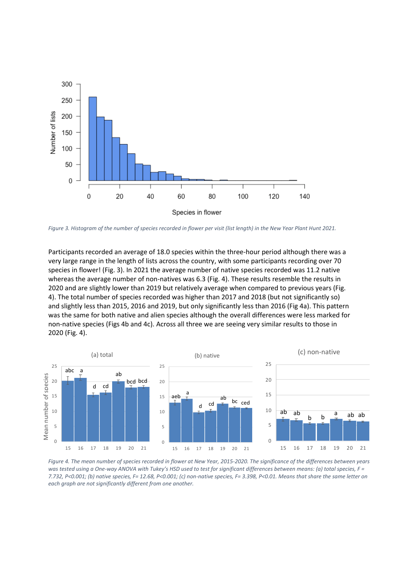

*Figure 3. Histogram of the number of species recorded in flower per visit (list length) in the New Year Plant Hunt 2021.*

Participants recorded an average of 18.0 species within the three-hour period although there was a very large range in the length of lists across the country, with some participants recording over 70 species in flower! (Fig. 3). In 2021 the average number of native species recorded was 11.2 native whereas the average number of non-natives was 6.3 (Fig. 4). These results resemble the results in 2020 and are slightly lower than 2019 but relatively average when compared to previous years (Fig. 4). The total number of species recorded was higher than 2017 and 2018 (but not significantly so) and slightly less than 2015, 2016 and 2019, but only significantly less than 2016 (Fig 4a). This pattern was the same for both native and alien species although the overall differences were less marked for non-native species (Figs 4b and 4c). Across all three we are seeing very similar results to those in 2020 (Fig. 4).



*Figure 4. The mean number of species recorded in flower at New Year, 2015-2020. The significance of the differences between years was tested using a One-way ANOVA with Tukey's HSD used to test for significant differences between means: (a) total species, F = 7.732, P<0.001; (b) native species, F= 12.68, P<0.001; (c) non-native species, F= 3.398, P<0.01. Means that share the same letter on each graph are not significantly different from one another.*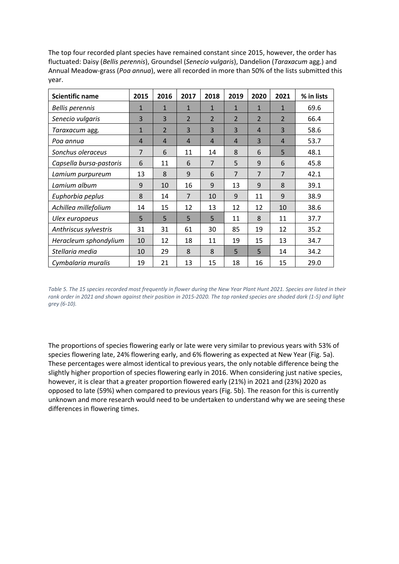The top four recorded plant species have remained constant since 2015, however, the order has fluctuated: Daisy (*Bellis perennis*), Groundsel (*Senecio vulgaris*), Dandelion (*Taraxacum* agg.) and Annual Meadow-grass (*Poa annua*), were all recorded in more than 50% of the lists submitted this year.

| <b>Scientific name</b>  | 2015           | 2016                    | 2017                    | 2018           | 2019           | 2020           | 2021           | % in lists |
|-------------------------|----------------|-------------------------|-------------------------|----------------|----------------|----------------|----------------|------------|
| <b>Bellis perennis</b>  | $\mathbf{1}$   | $\mathbf{1}$            | $\mathbf{1}$            | $\mathbf{1}$   | $\mathbf{1}$   | $\mathbf{1}$   | 1              | 69.6       |
| Senecio vulgaris        | 3              | $\overline{3}$          | $\overline{\mathbf{c}}$ | $\overline{2}$ | $\overline{2}$ | $\overline{2}$ | $\overline{2}$ | 66.4       |
| Taraxacum agg.          | $\mathbf{1}$   | $\overline{\mathbf{2}}$ | 3                       | 3              | $\overline{3}$ | $\overline{4}$ | 3              | 58.6       |
| Poa annua               | $\overline{4}$ | $\overline{4}$          | $\overline{4}$          | $\overline{4}$ | $\overline{4}$ | $\overline{3}$ | 4              | 53.7       |
| Sonchus oleraceus       | $\overline{7}$ | 6                       | 11                      | 14             | 8              | 6              | 5              | 48.1       |
| Capsella bursa-pastoris | 6              | 11                      | 6                       | $\overline{7}$ | 5              | 9              | 6              | 45.8       |
| Lamium purpureum        | 13             | 8                       | 9                       | 6              | $\overline{7}$ | $\overline{7}$ | $\overline{7}$ | 42.1       |
| Lamium album            | 9              | 10                      | 16                      | 9              | 13             | 9              | 8              | 39.1       |
| Euphorbia peplus        | 8              | 14                      | $\overline{7}$          | 10             | 9              | 11             | 9              | 38.9       |
| Achillea millefolium    | 14             | 15                      | 12                      | 13             | 12             | 12             | 10             | 38.6       |
| Ulex europaeus          | 5              | 5                       | 5                       | 5              | 11             | 8              | 11             | 37.7       |
| Anthriscus sylvestris   | 31             | 31                      | 61                      | 30             | 85             | 19             | 12             | 35.2       |
| Heracleum sphondylium   | 10             | 12                      | 18                      | 11             | 19             | 15             | 13             | 34.7       |
| Stellaria media         | 10             | 29                      | 8                       | 8              | 5              | 5              | 14             | 34.2       |
| Cymbalaria muralis      | 19             | 21                      | 13                      | 15             | 18             | 16             | 15             | 29.0       |

*Table 5. The 15 species recorded most frequently in flower during the New Year Plant Hunt 2021. Species are listed in their rank order in 2021 and shown against their position in 2015-2020. The top ranked species are shaded dark (1-5) and light grey (6-10).*

The proportions of species flowering early or late were very similar to previous years with 53% of species flowering late, 24% flowering early, and 6% flowering as expected at New Year (Fig. 5a). These percentages were almost identical to previous years, the only notable difference being the slightly higher proportion of species flowering early in 2016. When considering just native species, however, it is clear that a greater proportion flowered early (21%) in 2021 and (23%) 2020 as opposed to late (59%) when compared to previous years (Fig. 5b). The reason for this is currently unknown and more research would need to be undertaken to understand why we are seeing these differences in flowering times.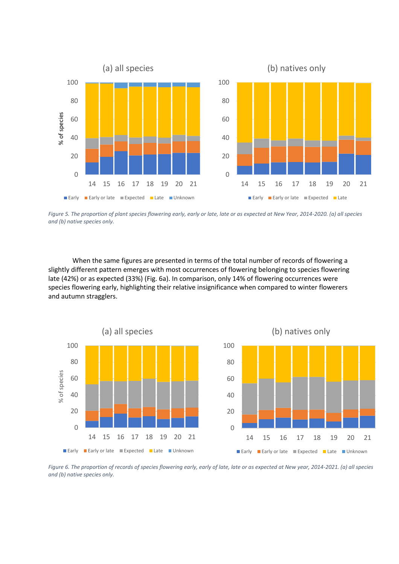

*Figure 5. The proportion of plant species flowering early, early or late, late or as expected at New Year, 2014-2020. (a) all species and (b) native species only.*

When the same figures are presented in terms of the total number of records of flowering a slightly different pattern emerges with most occurrences of flowering belonging to species flowering late (42%) or as expected (33%) (Fig. 6a). In comparison, only 14% of flowering occurrences were species flowering early, highlighting their relative insignificance when compared to winter flowerers and autumn stragglers.



*Figure 6. The proportion of records of species flowering early, early of late, late or as expected at New year, 2014-2021. (a) all species and (b) native species only.*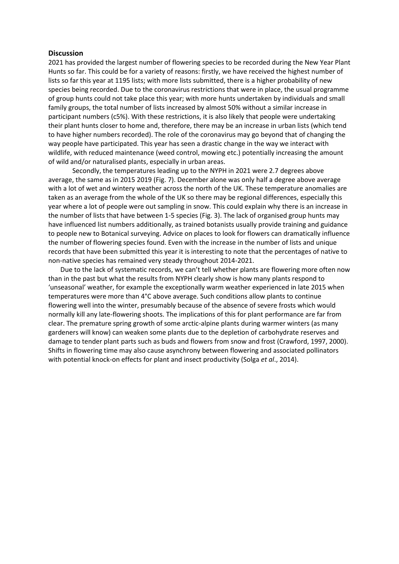#### **Discussion**

2021 has provided the largest number of flowering species to be recorded during the New Year Plant Hunts so far. This could be for a variety of reasons: firstly, we have received the highest number of lists so far this year at 1195 lists; with more lists submitted, there is a higher probability of new species being recorded. Due to the coronavirus restrictions that were in place, the usual programme of group hunts could not take place this year; with more hunts undertaken by individuals and small family groups, the total number of lists increased by almost 50% without a similar increase in participant numbers (c5%). With these restrictions, it is also likely that people were undertaking their plant hunts closer to home and, therefore, there may be an increase in urban lists (which tend to have higher numbers recorded). The role of the coronavirus may go beyond that of changing the way people have participated. This year has seen a drastic change in the way we interact with wildlife, with reduced maintenance (weed control, mowing etc.) potentially increasing the amount of wild and/or naturalised plants, especially in urban areas.

Secondly, the temperatures leading up to the NYPH in 2021 were 2.7 degrees above average, the same as in 2015 2019 (Fig. 7). December alone was only half a degree above average with a lot of wet and wintery weather across the north of the UK. These temperature anomalies are taken as an average from the whole of the UK so there may be regional differences, especially this year where a lot of people were out sampling in snow. This could explain why there is an increase in the number of lists that have between 1-5 species (Fig. 3). The lack of organised group hunts may have influenced list numbers additionally, as trained botanists usually provide training and guidance to people new to Botanical surveying. Advice on places to look for flowers can dramatically influence the number of flowering species found. Even with the increase in the number of lists and unique records that have been submitted this year it is interesting to note that the percentages of native to non-native species has remained very steady throughout 2014-2021.

Due to the lack of systematic records, we can't tell whether plants are flowering more often now than in the past but what the results from NYPH clearly show is how many plants respond to 'unseasonal' weather, for example the exceptionally warm weather experienced in late 2015 when temperatures were more than 4°C above average. Such conditions allow plants to continue flowering well into the winter, presumably because of the absence of severe frosts which would normally kill any late-flowering shoots. The implications of this for plant performance are far from clear. The premature spring growth of some arctic-alpine plants during warmer winters (as many gardeners will know) can weaken some plants due to the depletion of carbohydrate reserves and damage to tender plant parts such as buds and flowers from snow and frost (Crawford, 1997, 2000). Shifts in flowering time may also cause asynchrony between flowering and associated pollinators with potential knock-on effects for plant and insect productivity (Solga *et al*., 2014).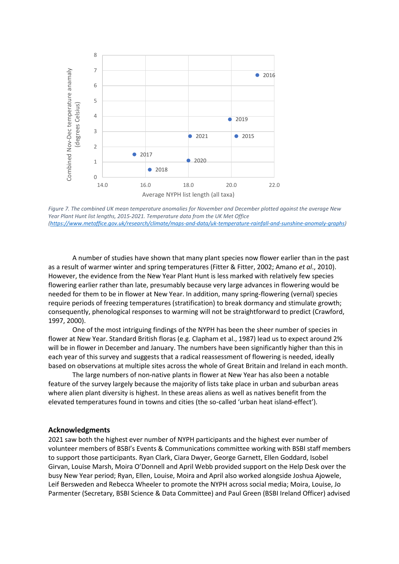



A number of studies have shown that many plant species now flower earlier than in the past as a result of warmer winter and spring temperatures (Fitter & Fitter, 2002; Amano *et al*., 2010). However, the evidence from the New Year Plant Hunt is less marked with relatively few species flowering earlier rather than late, presumably because very large advances in flowering would be needed for them to be in flower at New Year. In addition, many spring-flowering (vernal) species require periods of freezing temperatures (stratification) to break dormancy and stimulate growth; consequently, phenological responses to warming will not be straightforward to predict (Crawford, 1997, 2000).

One of the most intriguing findings of the NYPH has been the sheer number of species in flower at New Year. Standard British floras (e.g. Clapham et al., 1987) lead us to expect around 2% will be in flower in December and January. The numbers have been significantly higher than this in each year of this survey and suggests that a radical reassessment of flowering is needed, ideally based on observations at multiple sites across the whole of Great Britain and Ireland in each month.

The large numbers of non-native plants in flower at New Year has also been a notable feature of the survey largely because the majority of lists take place in urban and suburban areas where alien plant diversity is highest. In these areas aliens as well as natives benefit from the elevated temperatures found in towns and cities (the so-called 'urban heat island-effect').

#### **Acknowledgments**

2021 saw both the highest ever number of NYPH participants and the highest ever number of volunteer members of BSBI's Events & Communications committee working with BSBI staff members to support those participants. Ryan Clark, Ciara Dwyer, George Garnett, Ellen Goddard, Isobel Girvan, Louise Marsh, Moira O'Donnell and April Webb provided support on the Help Desk over the busy New Year period; Ryan, Ellen, Louise, Moira and April also worked alongside Joshua Ajowele, Leif Bersweden and Rebecca Wheeler to promote the NYPH across social media; Moira, Louise, Jo Parmenter (Secretary, BSBI Science & Data Committee) and Paul Green (BSBI Ireland Officer) advised